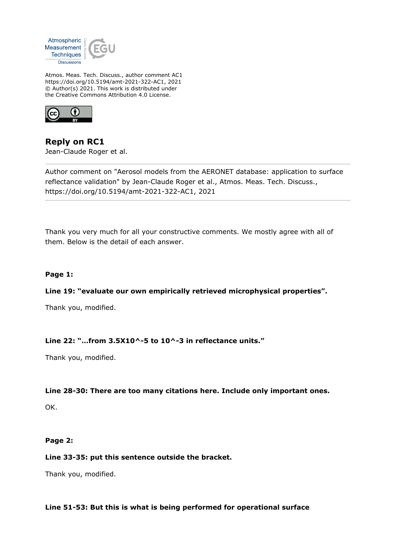

Atmos. Meas. Tech. Discuss., author comment AC1 https://doi.org/10.5194/amt-2021-322-AC1, 2021 © Author(s) 2021. This work is distributed under the Creative Commons Attribution 4.0 License.



**Reply on RC1** Jean-Claude Roger et al.

Author comment on "Aerosol models from the AERONET database: application to surface reflectance validation" by Jean-Claude Roger et al., Atmos. Meas. Tech. Discuss., https://doi.org/10.5194/amt-2021-322-AC1, 2021

Thank you very much for all your constructive comments. We mostly agree with all of them. Below is the detail of each answer.

## **Page 1:**

### **Line 19: "evaluate our own empirically retrieved microphysical properties".**

Thank you, modified.

### **Line 22: "…from 3.5X10^-5 to 10^-3 in reflectance units."**

Thank you, modified.

### **Line 28-30: There are too many citations here. Include only important ones.**

OK.

### **Page 2:**

### **Line 33-35: put this sentence outside the bracket.**

Thank you, modified.

# **Line 51-53: But this is what is being performed for operational surface**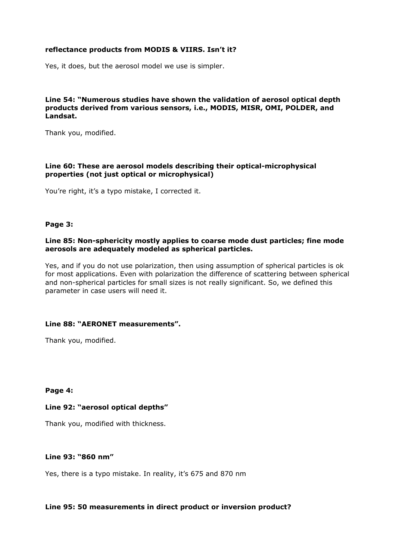# **reflectance products from MODIS & VIIRS. Isn't it?**

Yes, it does, but the aerosol model we use is simpler.

# **Line 54: "Numerous studies have shown the validation of aerosol optical depth products derived from various sensors, i.e., MODIS, MISR, OMI, POLDER, and Landsat.**

Thank you, modified.

### **Line 60: These are aerosol models describing their optical-microphysical properties (not just optical or microphysical)**

You're right, it's a typo mistake, I corrected it.

#### **Page 3:**

## **Line 85: Non-sphericity mostly applies to coarse mode dust particles; fine mode aerosols are adequately modeled as spherical particles.**

Yes, and if you do not use polarization, then using assumption of spherical particles is ok for most applications. Even with polarization the difference of scattering between spherical and non-spherical particles for small sizes is not really significant. So, we defined this parameter in case users will need it.

## **Line 88: "AERONET measurements".**

Thank you, modified.

**Page 4:**

### **Line 92: "aerosol optical depths"**

Thank you, modified with thickness.

## **Line 93: "860 nm"**

Yes, there is a typo mistake. In reality, it's 675 and 870 nm

### **Line 95: 50 measurements in direct product or inversion product?**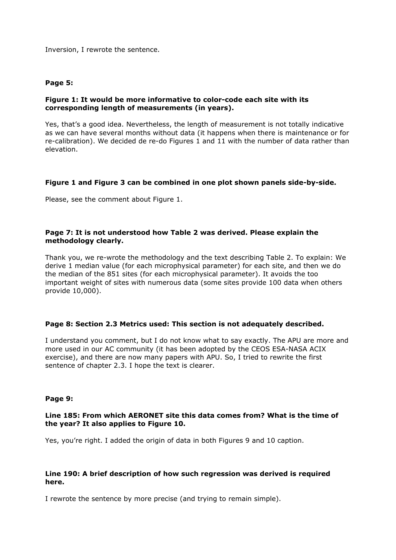Inversion, I rewrote the sentence.

### **Page 5:**

## **Figure 1: It would be more informative to color-code each site with its corresponding length of measurements (in years).**

Yes, that's a good idea. Nevertheless, the length of measurement is not totally indicative as we can have several months without data (it happens when there is maintenance or for re-calibration). We decided de re-do Figures 1 and 11 with the number of data rather than elevation.

### **Figure 1 and Figure 3 can be combined in one plot shown panels side-by-side.**

Please, see the comment about Figure 1.

### **Page 7: It is not understood how Table 2 was derived. Please explain the methodology clearly.**

Thank you, we re-wrote the methodology and the text describing Table 2. To explain: We derive 1 median value (for each microphysical parameter) for each site, and then we do the median of the 851 sites (for each microphysical parameter). It avoids the too important weight of sites with numerous data (some sites provide 100 data when others provide 10,000).

### **Page 8: Section 2.3 Metrics used: This section is not adequately described.**

I understand you comment, but I do not know what to say exactly. The APU are more and more used in our AC community (it has been adopted by the CEOS ESA-NASA ACIX exercise), and there are now many papers with APU. So, I tried to rewrite the first sentence of chapter 2.3. I hope the text is clearer.

#### **Page 9:**

## **Line 185: From which AERONET site this data comes from? What is the time of the year? It also applies to Figure 10.**

Yes, you're right. I added the origin of data in both Figures 9 and 10 caption.

### **Line 190: A brief description of how such regression was derived is required here.**

I rewrote the sentence by more precise (and trying to remain simple).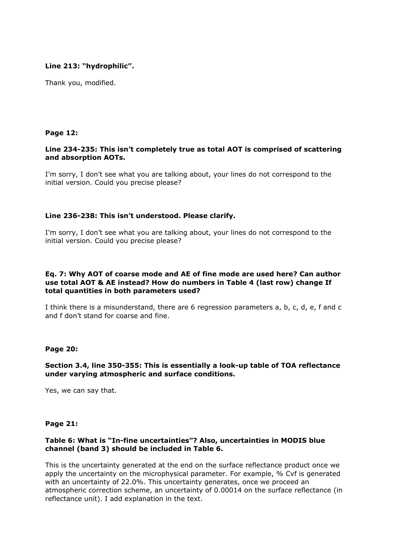# **Line 213: "hydrophilic".**

Thank you, modified.

## **Page 12:**

# **Line 234-235: This isn't completely true as total AOT is comprised of scattering and absorption AOTs.**

I'm sorry, I don't see what you are talking about, your lines do not correspond to the initial version. Could you precise please?

## **Line 236-238: This isn't understood. Please clarify.**

I'm sorry, I don't see what you are talking about, your lines do not correspond to the initial version. Could you precise please?

### **Eq. 7: Why AOT of coarse mode and AE of fine mode are used here? Can author use total AOT & AE instead? How do numbers in Table 4 (last row) change If total quantities in both parameters used?**

I think there is a misunderstand, there are 6 regression parameters a, b, c, d, e, f and c and f don't stand for coarse and fine.

### **Page 20:**

## **Section 3.4, line 350-355: This is essentially a look-up table of TOA reflectance under varying atmospheric and surface conditions.**

Yes, we can say that.

### **Page 21:**

## **Table 6: What is "In-fine uncertainties"? Also, uncertainties in MODIS blue channel (band 3) should be included in Table 6.**

This is the uncertainty generated at the end on the surface reflectance product once we apply the uncertainty on the microphysical parameter. For example, % Cvf is generated with an uncertainty of 22.0%. This uncertainty generates, once we proceed an atmospheric correction scheme, an uncertainty of 0.00014 on the surface reflectance (in reflectance unit). I add explanation in the text.